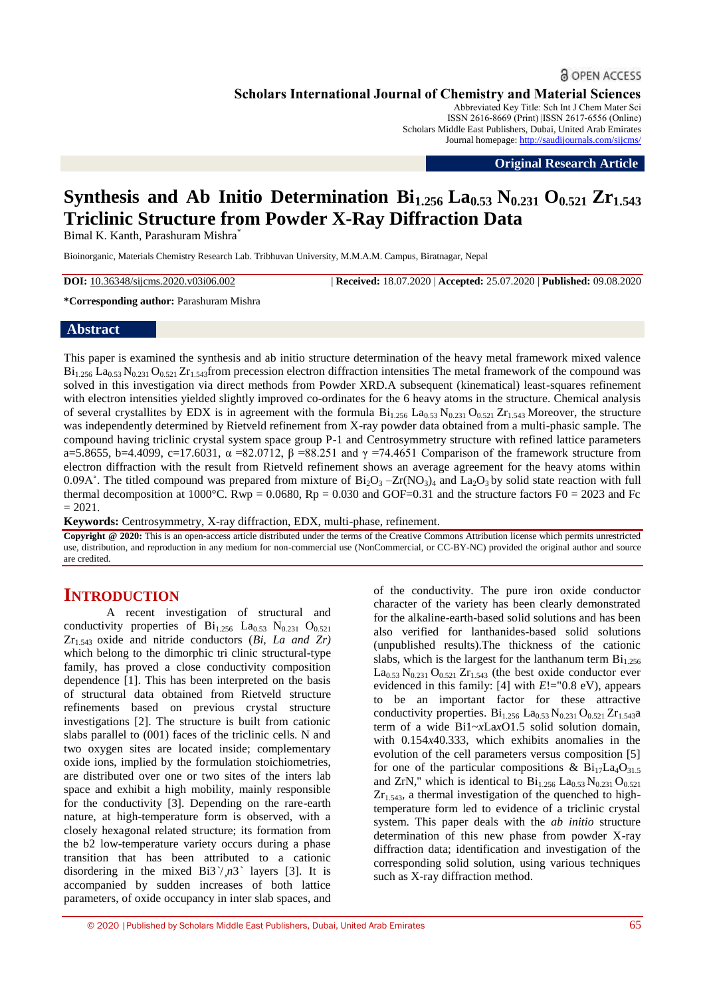# **& OPEN ACCESS**

**Scholars International Journal of Chemistry and Material Sciences**

Abbreviated Key Title: Sch Int J Chem Mater Sci ISSN 2616-8669 (Print) |ISSN 2617-6556 (Online) Scholars Middle East Publishers, Dubai, United Arab Emirates Journal homepage: <http://saudijournals.com/sijcms/>

**Original Research Article**

# **Synthesis and Ab Initio Determination**  $\text{Bi}_{1.256}$  $\text{La}_{0.53}$  $\text{N}_{0.231}$  $\text{O}_{0.521}$  $\text{Zr}_{1.543}$ **Triclinic Structure from Powder X-Ray Diffraction Data**

Bimal K. Kanth, Parashuram Mishra<sup>\*</sup>

Bioinorganic, Materials Chemistry Research Lab. Tribhuvan University, M.M.A.M. Campus, Biratnagar, Nepal

**DOI:** 10.36348/sijcms.2020.v03i06.002 | **Received:** 18.07.2020 | **Accepted:** 25.07.2020 | **Published:** 09.08.2020

**\*Corresponding author:** Parashuram Mishra

### **Abstract**

This paper is examined the synthesis and ab initio structure determination of the heavy metal framework mixed valence  $Bi<sub>1.256</sub>$  La<sub>0.53</sub> N<sub>0.231</sub> O<sub>0.521</sub> Z<sub>L1.543</sub> from precession electron diffraction intensities The metal framework of the compound was solved in this investigation via direct methods from Powder XRD.A subsequent (kinematical) least-squares refinement with electron intensities yielded slightly improved co-ordinates for the 6 heavy atoms in the structure. Chemical analysis of several crystallites by EDX is in agreement with the formula  $Bi_{1.256}$  La<sub>0.53</sub> N<sub>0.231</sub> O<sub>0.521</sub> Zr<sub>1.543</sub> Moreover, the structure was independently determined by Rietveld refinement from X-ray powder data obtained from a multi-phasic sample. The compound having triclinic crystal system space group P-1 and Centrosymmetry structure with refined lattice parameters a=5.8655, b=4.4099, c=17.6031, α =82.0712, β =88.251 and  $\gamma$  =74.4651 Comparison of the framework structure from electron diffraction with the result from Rietveld refinement shows an average agreement for the heavy atoms within 0.09A $\degree$ . The titled compound was prepared from mixture of Bi<sub>2</sub>O<sub>3</sub> –Zr(NO<sub>3</sub>)<sub>4</sub> and La<sub>2</sub>O<sub>3</sub> by solid state reaction with full thermal decomposition at  $1000^{\circ}$ C. Rwp = 0.0680, Rp = 0.030 and GOF=0.31 and the structure factors F0 = 2023 and Fc  $= 2021.$ 

**Keywords:** Centrosymmetry, X-ray diffraction, EDX, multi-phase, refinement.

**Copyright @ 2020:** This is an open-access article distributed under the terms of the Creative Commons Attribution license which permits unrestricted use, distribution, and reproduction in any medium for non-commercial use (NonCommercial, or CC-BY-NC) provided the original author and source are credited.

# **INTRODUCTION**

A recent investigation of structural and conductivity properties of  $Bi<sub>1.256</sub>$  La<sub>0.53</sub> N<sub>0.231</sub> O<sub>0.521</sub> Zr1.543 oxide and nitride conductors (*Bi, La and Zr)* which belong to the dimorphic tri clinic structural-type family, has proved a close conductivity composition dependence [1]. This has been interpreted on the basis of structural data obtained from Rietveld structure refinements based on previous crystal structure investigations [2]. The structure is built from cationic slabs parallel to (001) faces of the triclinic cells. N and two oxygen sites are located inside; complementary oxide ions, implied by the formulation stoichiometries, are distributed over one or two sites of the inters lab space and exhibit a high mobility, mainly responsible for the conductivity [3]. Depending on the rare-earth nature, at high-temperature form is observed, with a closely hexagonal related structure; its formation from the b2 low-temperature variety occurs during a phase transition that has been attributed to a cationic disordering in the mixed  $Bi3^{\prime}/n3^{\prime}$  layers [3]. It is accompanied by sudden increases of both lattice parameters, of oxide occupancy in inter slab spaces, and

of the conductivity. The pure iron oxide conductor character of the variety has been clearly demonstrated for the alkaline-earth-based solid solutions and has been also verified for lanthanides-based solid solutions (unpublished results).The thickness of the cationic slabs, which is the largest for the lanthanum term  $Bi<sub>1.256</sub>$  $La_{0.53}$  N<sub>0.231</sub> O<sub>0.521</sub> Zr<sub>1.543</sub> (the best oxide conductor ever evidenced in this family: [4] with *E*!="0.8 eV), appears to be an important factor for these attractive conductivity properties.  $Bi_{1.256}$   $La_{0.53}$   $N_{0.231}$   $O_{0.521}$   $Zr_{1.543}$ a term of a wide Bi1~*x*La*x*O1.5 solid solution domain, with 0.154*x*40.333, which exhibits anomalies in the evolution of the cell parameters versus composition [5] for one of the particular compositions &  $Bi_{17}La_4O_{31.5}$ and ZrN," which is identical to  $Bi_{1.256}$  La<sub>0.53</sub> N<sub>0.231</sub> O<sub>0.521</sub>  $Zr_{1.543}$ , a thermal investigation of the quenched to hightemperature form led to evidence of a triclinic crystal system. This paper deals with the *ab initio* structure determination of this new phase from powder X-ray diffraction data; identification and investigation of the corresponding solid solution, using various techniques such as X-ray diffraction method.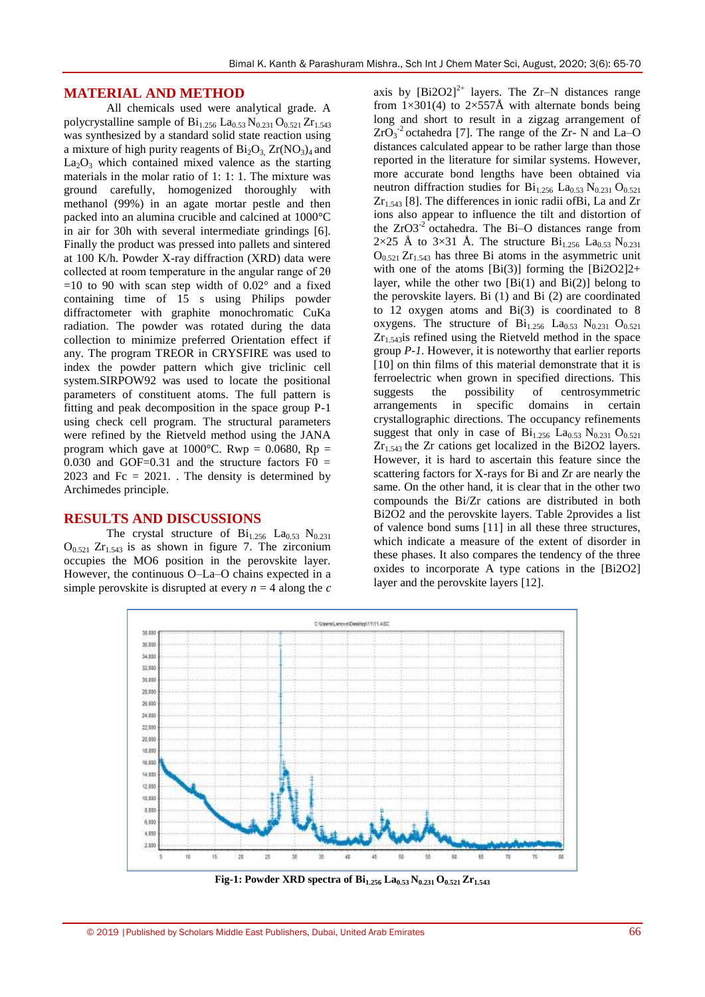## **MATERIAL AND METHOD**

All chemicals used were analytical grade. A polycrystalline sample of  $Bi_{1,256}$   $La_{0,53}$   $N_{0,231}$   $O_{0,521}$   $Zr_{1,543}$ was synthesized by a standard solid state reaction using a mixture of high purity reagents of  $Bi<sub>2</sub>O<sub>3</sub> Zr(NO<sub>3</sub>)<sub>4</sub>$  and  $La_2O_3$  which contained mixed valence as the starting materials in the molar ratio of 1: 1: 1. The mixture was ground carefully, homogenized thoroughly with methanol (99%) in an agate mortar pestle and then packed into an alumina crucible and calcined at 1000°C in air for 30h with several intermediate grindings [6]. Finally the product was pressed into pallets and sintered at 100 K/h. Powder X-ray diffraction (XRD) data were collected at room temperature in the angular range of 2θ  $=10$  to 90 with scan step width of 0.02 $^{\circ}$  and a fixed containing time of 15 s using Philips powder diffractometer with graphite monochromatic CuKa radiation. The powder was rotated during the data collection to minimize preferred Orientation effect if any. The program TREOR in CRYSFIRE was used to index the powder pattern which give triclinic cell system.SIRPOW92 was used to locate the positional parameters of constituent atoms. The full pattern is fitting and peak decomposition in the space group P-1 using check cell program. The structural parameters were refined by the Rietveld method using the JANA program which gave at  $1000^{\circ}$ C. Rwp = 0.0680, Rp = 0.030 and GOF=0.31 and the structure factors  $F0 =$ 2023 and Fc =  $2021$ . The density is determined by Archimedes principle.

#### **RESULTS AND DISCUSSIONS**

The crystal structure of  $Bi<sub>1.256</sub>$  La<sub>0.53</sub> N<sub>0.231</sub>  $O_{0.521}$  Zr<sub>1.543</sub> is as shown in figure 7. The zirconium occupies the MO6 position in the perovskite layer. However, the continuous O–La–O chains expected in a simple perovskite is disrupted at every  $n = 4$  along the  $c$ 

axis by  $[Bi2O2]^{2+}$  layers. The Zr–N distances range from  $1\times301(4)$  to  $2\times557\text{\AA}$  with alternate bonds being long and short to result in a zigzag arrangement of  $ZrO<sub>3</sub><sup>-2</sup>$  octahedra [7]. The range of the Zr- N and La–O distances calculated appear to be rather large than those reported in the literature for similar systems. However, more accurate bond lengths have been obtained via neutron diffraction studies for  $Bi<sub>1.256</sub> La<sub>0.53</sub> N<sub>0.231</sub> O<sub>0.521</sub>$  $Zr_{1.543}$  [8]. The differences in ionic radii of Bi, La and  $Zr$ ions also appear to influence the tilt and distortion of the  $ZrO3^{-2}$  octahedra. The Bi–O distances range from  $2\times25$  Å to  $3\times31$  Å. The structure  $Bi_{1.256}$  La<sub>0.53</sub> N<sub>0.231</sub>  $O_{0.521} Zr_{1.543}$  has three Bi atoms in the asymmetric unit with one of the atoms  $[Bi(3)]$  forming the  $[Bi2O2]2+$ layer, while the other two  $[Bi(1)$  and  $Bi(2)$ ] belong to the perovskite layers. Bi (1) and Bi (2) are coordinated to 12 oxygen atoms and Bi(3) is coordinated to 8 oxygens. The structure of  $Bi_{1,256}$   $La_{0.53}$   $N_{0.231}$   $O_{0.521}$  $Zr_{1.543}$  is refined using the Rietveld method in the space group *P-1*. However, it is noteworthy that earlier reports [10] on thin films of this material demonstrate that it is ferroelectric when grown in specified directions. This suggests the possibility of centrosymmetric arrangements in specific domains in certain crystallographic directions. The occupancy refinements suggest that only in case of  $Bi_{1.256}$   $La_{0.53}$   $N_{0.231}$   $O_{0.521}$  $Zr_{1.543}$  the  $Zr$  cations get localized in the Bi2O2 layers. However, it is hard to ascertain this feature since the scattering factors for X-rays for Bi and Zr are nearly the same. On the other hand, it is clear that in the other two compounds the Bi/Zr cations are distributed in both Bi2O2 and the perovskite layers. Table 2provides a list of valence bond sums [11] in all these three structures, which indicate a measure of the extent of disorder in these phases. It also compares the tendency of the three oxides to incorporate A type cations in the [Bi2O2] layer and the perovskite layers [12].



**Fig-1: Powder XRD spectra of Bi1.256 La0.53 N0.231 O0.521 Zr1.543**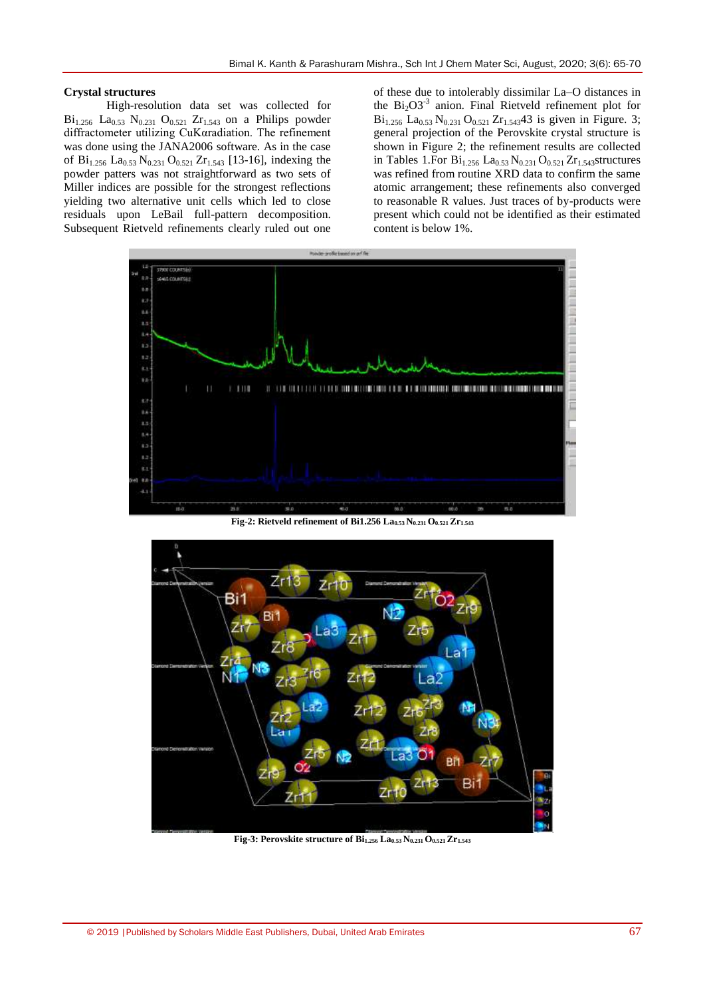#### **Crystal structures**

High-resolution data set was collected for  $Bi_{1.256}$  La<sub>0.53</sub> N<sub>0.231</sub> O<sub>0.521</sub> Zr<sub>1.543</sub> on a Philips powder diffractometer utilizing CuKαradiation. The refinement was done using the JANA2006 software. As in the case of  $Bi_{1.256}$   $La_{0.53}$   $N_{0.231}$   $O_{0.521}$   $Zr_{1.543}$  [13-16], indexing the powder patters was not straightforward as two sets of Miller indices are possible for the strongest reflections yielding two alternative unit cells which led to close residuals upon LeBail full-pattern decomposition. Subsequent Rietveld refinements clearly ruled out one

of these due to intolerably dissimilar La–O distances in the  $Bi<sub>2</sub>O3<sup>-3</sup>$  anion. Final Rietveld refinement plot for  $Bi_{1.256}$  La<sub>0.53</sub> N<sub>0.231</sub> O<sub>0.521</sub> Zr<sub>1.543</sub>43 is given in Figure. 3; general projection of the Perovskite crystal structure is shown in Figure 2; the refinement results are collected in Tables 1.For  $Bi_{1.256}$   $La_{0.53}$   $N_{0.231}$   $O_{0.521}$   $Zr_{1.543}$ structures was refined from routine XRD data to confirm the same atomic arrangement; these refinements also converged to reasonable R values. Just traces of by-products were present which could not be identified as their estimated content is below 1%.



**Fig-2: Rietveld refinement of Bi1.256 La0.53 N0.231 O0.521 Zr1.543**



**Fig-3: Perovskite structure of Bi1.256 La0.53 N0.231 O0.521 Zr1.543**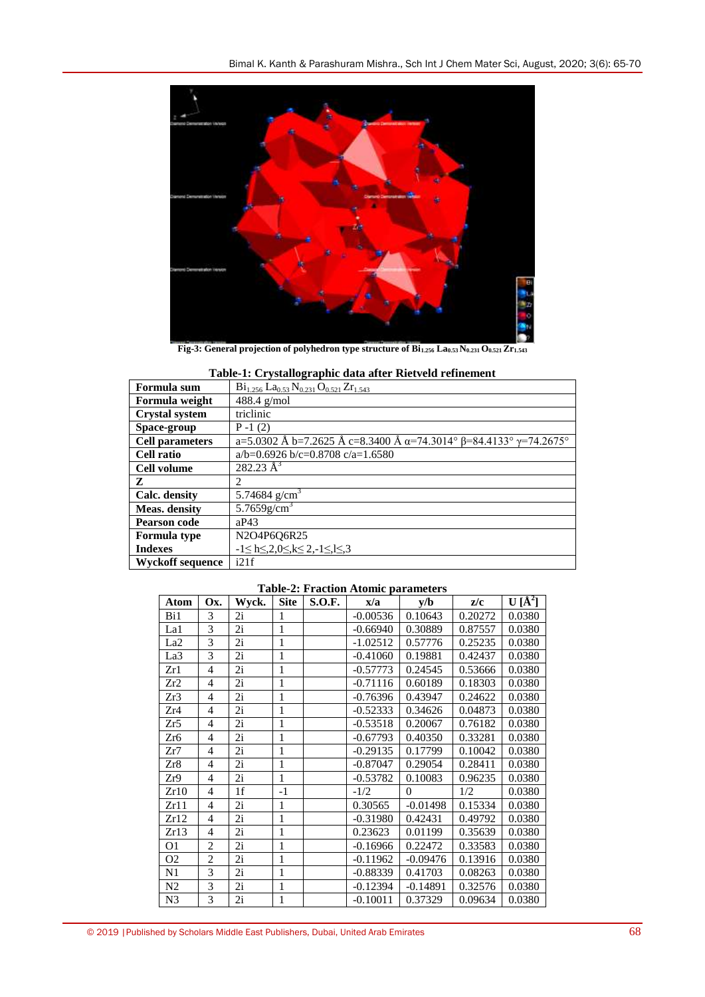

**Fig-3: General projection of polyhedron type structure of Bi1.256 La0.53 N0.231 O0.521 Zr1.543**

| Formula sum             | $Bi_{1.256}$ $La_{0.53}$ $N_{0.231}$ $O_{0.521}$ $Zr_{1.543}$                            |
|-------------------------|------------------------------------------------------------------------------------------|
| Formula weight          | $488.4$ g/mol                                                                            |
| <b>Crystal system</b>   | triclinic                                                                                |
| Space-group             | $P-1(2)$                                                                                 |
| <b>Cell parameters</b>  | a=5.0302 Å b=7.2625 Å c=8.3400 Å $\alpha$ =74.3014° $\beta$ =84.4133° $\gamma$ =74.2675° |
| <b>Cell ratio</b>       | $a/b=0.6926$ b/c=0.8708 c/a=1.6580                                                       |
| Cell volume             | $282.23 \text{ Å}^3$                                                                     |
| Z                       | $\mathfrak{D}$                                                                           |
| Calc. density           | 5.74684 $g/cm^3$                                                                         |
| Meas. density           | $5.7659$ g/cm <sup>3</sup>                                                               |
| <b>Pearson code</b>     | aP43                                                                                     |
| <b>Formula</b> type     | N2O4P6Q6R25                                                                              |
| <b>Indexes</b>          | $-1 \le h \le 2, 0 \le k \le 2, -1 \le k \le 3$                                          |
| <b>Wyckoff sequence</b> | i21f                                                                                     |

# **Table-1: Crystallographic data after Rietveld refinement**

|  |  |  | <b>Table-2: Fraction Atomic parameters</b> |
|--|--|--|--------------------------------------------|
|--|--|--|--------------------------------------------|

| Atom            | Ox.            | Wyck. | <b>Site</b>  | <b>S.O.F.</b> | x/a        | v/b        | z/c     | $U[\AA^2]$ |
|-----------------|----------------|-------|--------------|---------------|------------|------------|---------|------------|
| Bi1             | 3              | 2i    | 1            |               | $-0.00536$ | 0.10643    | 0.20272 | 0.0380     |
| La1             | 3              | 2i    | 1            |               | $-0.66940$ | 0.30889    | 0.87557 | 0.0380     |
| La <sub>2</sub> | 3              | 2i    | $\mathbf{1}$ |               | $-1.02512$ | 0.57776    | 0.25235 | 0.0380     |
| La3             | 3              | 2i    | 1            |               | $-0.41060$ | 0.19881    | 0.42437 | 0.0380     |
| Zr1             | 4              | 2i    | 1            |               | $-0.57773$ | 0.24545    | 0.53666 | 0.0380     |
| Zr2             | 4              | 2i    | 1            |               | $-0.71116$ | 0.60189    | 0.18303 | 0.0380     |
| Zr3             | 4              | 2i    | 1            |               | $-0.76396$ | 0.43947    | 0.24622 | 0.0380     |
| Zr4             | $\overline{4}$ | 2i    | 1            |               | $-0.52333$ | 0.34626    | 0.04873 | 0.0380     |
| Zr5             | $\overline{4}$ | 2i    | 1            |               | $-0.53518$ | 0.20067    | 0.76182 | 0.0380     |
| Zr6             | 4              | 2i    | 1            |               | $-0.67793$ | 0.40350    | 0.33281 | 0.0380     |
| Zr7             | $\overline{4}$ | 2i    | 1            |               | $-0.29135$ | 0.17799    | 0.10042 | 0.0380     |
| Zr8             | $\overline{4}$ | 2i    | 1            |               | $-0.87047$ | 0.29054    | 0.28411 | 0.0380     |
| Zr9             | $\overline{4}$ | 2i    | 1            |               | $-0.53782$ | 0.10083    | 0.96235 | 0.0380     |
| Zr10            | 4              | 1f    | $-1$         |               | $-1/2$     | $\theta$   | 1/2     | 0.0380     |
| Zr11            | 4              | 2i    | 1            |               | 0.30565    | $-0.01498$ | 0.15334 | 0.0380     |
| Zr12            | $\overline{4}$ | 2i    | 1            |               | $-0.31980$ | 0.42431    | 0.49792 | 0.0380     |
| Zr13            | $\overline{4}$ | 2i    | 1            |               | 0.23623    | 0.01199    | 0.35639 | 0.0380     |
| 01              | $\overline{2}$ | 2i    | 1            |               | $-0.16966$ | 0.22472    | 0.33583 | 0.0380     |
| O <sub>2</sub>  | $\overline{c}$ | 2i    | 1            |               | $-0.11962$ | $-0.09476$ | 0.13916 | 0.0380     |
| N1              | 3              | 2i    | 1            |               | $-0.88339$ | 0.41703    | 0.08263 | 0.0380     |
| N <sub>2</sub>  | 3              | 2i    | 1            |               | $-0.12394$ | $-0.14891$ | 0.32576 | 0.0380     |
| N <sub>3</sub>  | 3              | 2i    | 1            |               | $-0.10011$ | 0.37329    | 0.09634 | 0.0380     |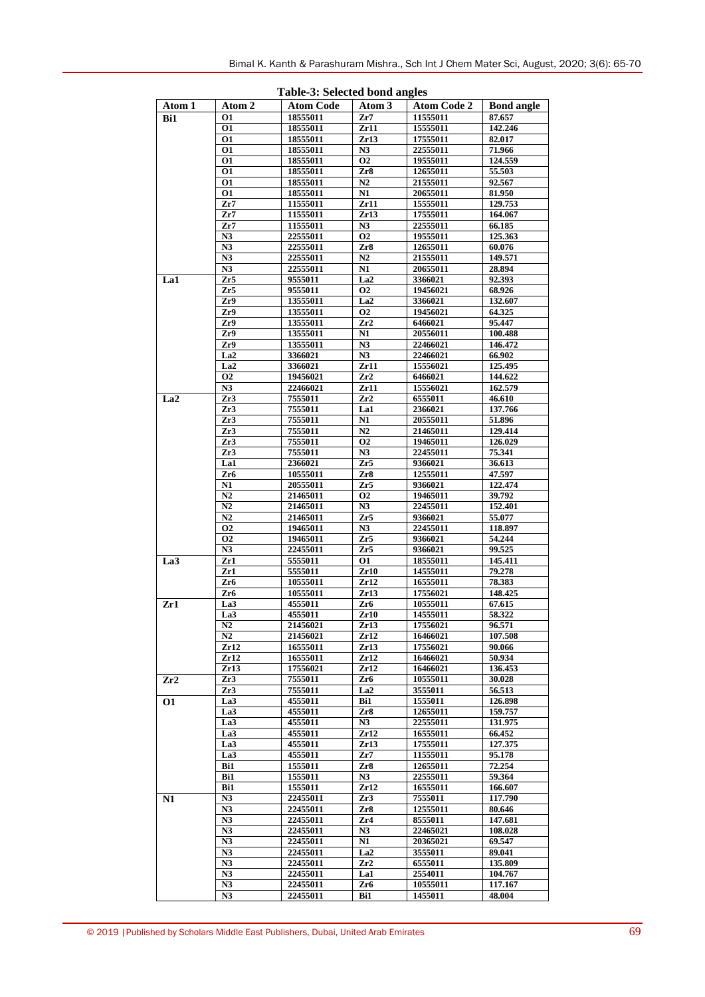|                 |                 | rabic of belected bond angles |                 |                    |                   |
|-----------------|-----------------|-------------------------------|-----------------|--------------------|-------------------|
| Atom 1          | Atom 2          | <b>Atom Code</b>              | Atom 3          | <b>Atom Code 2</b> | <b>Bond angle</b> |
| Bi1             | 01              | 18555011                      | Zr7             | 11555011           | 87.657            |
|                 | 01              | 18555011                      | Zr11            | 15555011           | 142,246           |
|                 | 01              | 18555011                      | Zr13            | 17555011           | 82.017            |
|                 | 01              | 18555011                      | N3              | 22555011           | 71.966            |
|                 | 01              | 18555011                      | <b>O2</b>       | 19555011           | 124.559           |
|                 | 01              | 18555011                      | Zr8             | 12655011           | 55.503            |
|                 | 01              | 18555011                      | N2              | 21555011           | 92.567            |
|                 | 01              | 18555011                      | N1              | 20655011           | 81.950            |
|                 | Zr7             | 11555011                      | Zr11            | 15555011           | 129.753           |
|                 | Zr7             | 11555011                      | Zr13            | 17555011           | 164.067           |
|                 | Zr7             | 11555011                      | N3              | 22555011           | 66.185            |
|                 | N3              | 22555011                      | Ο2              | 19555011           | 125.363           |
|                 | N3              | 22555011                      |                 | 12655011           | 60.076            |
|                 | N3              |                               | Zr8<br>N2       | 21555011           |                   |
|                 | N3              | 22555011                      | $\overline{N1}$ | 20655011           | 149.571           |
|                 |                 | 22555011                      |                 |                    | 28.894            |
| La1             | Zr5             | 9555011                       | La <sub>2</sub> | 3366021            | 92.393            |
|                 | Zr5             | 9555011                       | <b>O2</b>       | 19456021           | 68.926            |
|                 | Zr9             | 13555011                      | La <sub>2</sub> | 3366021            | 132.607           |
|                 | Zr9             | 13555011                      | <b>O2</b>       | 19456021           | 64.325            |
|                 | Zr9             | 13555011                      | Zr2             | 6466021            | 95.447            |
|                 | Zr9             | 13555011                      | N1              | 20556011           | 100.488           |
|                 | Zr9             | 13555011                      | N3              | 22466021           | 146.472           |
|                 | La <sub>2</sub> | 3366021                       | N3              | 22466021           | 66.902            |
|                 | La <sub>2</sub> | 3366021                       | Zr11            | 15556021           | 125.495           |
|                 | <b>O2</b>       | 19456021                      | Zr2             | 6466021            | 144.622           |
|                 | N3              | 22466021                      | Zr11            | 15556021           | 162.579           |
| La <sub>2</sub> | Zr3             | 7555011                       | Zr2             | 6555011            | 46.610            |
|                 | Zr3             | 7555011                       | La1             | 2366021            | 137.766           |
|                 | Zr3             | 7555011                       | N1              | 20555011           | 51.896            |
|                 | Zr3             | 7555011                       | N2              | 21465011           | 129.414           |
|                 | Zr3             | 7555011                       | <b>O2</b>       | 19465011           | 126.029           |
|                 | Zr3             | 7555011                       | N3              | 22455011           | 75.341            |
|                 | La1             | 2366021                       | Zr5             | 9366021            | 36.613            |
|                 | Zr6             | 10555011                      | Zr8             | 12555011           | 47.597            |
|                 | N1              | 20555011                      | Zr5             | 9366021            | 122.474           |
|                 | N2              | 21465011                      | 02              | 19465011           | 39.792            |
|                 | N2              | 21465011                      | N3              | 22455011           | 152.401           |
|                 | $\overline{N2}$ | 21465011                      | Zr5             | 9366021            | 55.077            |
|                 | <b>O2</b>       | 19465011                      | N3              | 22455011           | 118.897           |
|                 | <b>O2</b>       |                               | Zr5             |                    |                   |
|                 |                 | 19465011                      |                 | 9366021            | 54.244            |
|                 | N3              | 22455011                      | Zr5             | 9366021            | 99.525            |
| La <sub>3</sub> | Zr1             | 5555011                       | 01              | 18555011           | 145.411           |
|                 | Zr1             | 5555011                       | Zr10            | 14555011           | 79.278            |
|                 | Zr6             | 10555011                      | Zr12            | 16555011           | 78.383            |
|                 | Zr6             | 10555011                      | Zr13            | 17556021           | 148.425           |
| Zr1             | La3             | 4555011                       | Zr6             | 10555011           | 67.615            |
|                 | La <sub>3</sub> | 4555011                       | Zr10            | 14555011           | 58.322            |
|                 | N2              | 21456021                      | Zr13            | 17556021           | 96.571            |
|                 | N2              | 21456021                      | Zr12            | 16466021           | 107.508           |
|                 | Zr12            | 16555011                      | Zr13            | 17556021           | 90.066            |
|                 | Zr12            | 16555011                      | Zr12            | 16466021           | 50.934            |
|                 | Zr13            | 17556021                      | Zr12            | 16466021           | 136.453           |
| Zr2             | Zr3             | 7555011                       | Zr6             | 10555011           | 30.028            |
|                 | Zr3             | 7555011                       | La <sub>2</sub> | 3555011            | 56.513            |
| <b>O1</b>       | La3             | 4555011                       | Bi1             | 1555011            | 126.898           |
|                 | La3             | 4555011                       | Zr8             | 12655011           | 159.757           |
|                 | La3             | 4555011                       | N3              | 22555011           | 131.975           |
|                 | La3             | 4555011                       | Zr12            | 16555011           | 66.452            |
|                 | La3             | 4555011                       | Zr13            | 17555011           | 127.375           |
|                 | La3             | 4555011                       | Zr7             | 11555011           | 95.178            |
|                 | Bi1             | 1555011                       | Zr8             | 12655011           | 72.254            |
|                 | Bi1             | 1555011                       | N3              | 22555011           | 59.364            |
|                 | Bi1             | 1555011                       | Zr12            | 16555011           | 166.607           |
| N1              | N3              | 22455011                      | Zr3             | 7555011            | 117.790           |
|                 | N3              | 22455011                      | Zr8             | 12555011           | 80.646            |
|                 | N3              | 22455011                      | Zr4             | 8555011            | 147.681           |
|                 | N3              | 22455011                      | N3              | 22465021           | 108.028           |
|                 | N3              | 22455011                      | N1              | 20365021           | 69.547            |
|                 | N <sub>3</sub>  | 22455011                      | La2             | 3555011            | 89.041            |
|                 |                 |                               |                 |                    |                   |
|                 | N <sub>3</sub>  | 22455011                      | Zr2             | 6555011            | 135.809           |
|                 | N <sub>3</sub>  | 22455011                      | <b>La1</b>      | 2554011            | 104.767           |
|                 | N3              | 22455011                      | Zr6             | 10555011           | 117.167           |
|                 | N3              | 22455011                      | Bi1             | 1455011            | 48.004            |

**Table-3: Selected bond angles**